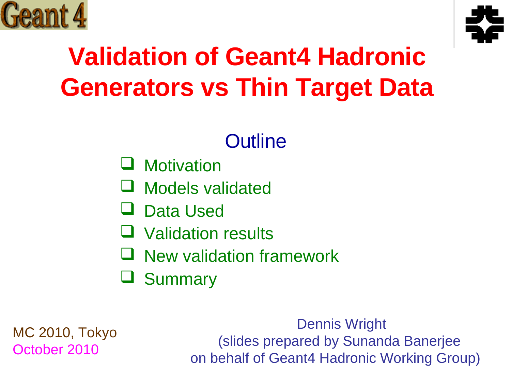



## **Validation of Geant4 Hadronic Generators vs Thin Target Data**

#### **Outline**

- **Q** Motivation
- Models validated
- Data Used
- Validation results
- New validation framework
- **Summary**

MC 2010, Tokyo October 2010

Dennis Wright (slides prepared by Sunanda Banerjee on behalf of Geant4 Hadronic Working Group)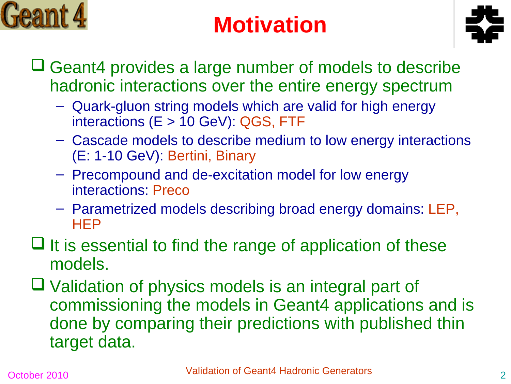

## **Motivation**



- **□ Geant4 provides a large number of models to describe** hadronic interactions over the entire energy spectrum
	- Quark-gluon string models which are valid for high energy interactions (E > 10 GeV): QGS, FTF
	- Cascade models to describe medium to low energy interactions (E: 1-10 GeV): Bertini, Binary
	- Precompound and de-excitation model for low energy interactions: Preco
	- Parametrized models describing broad energy domains: LEP, **HEP**
- $\Box$  It is essential to find the range of application of these models.
- $\Box$  Validation of physics models is an integral part of commissioning the models in Geant4 applications and is done by comparing their predictions with published thin target data.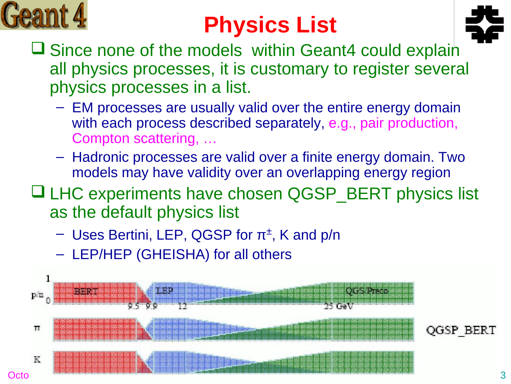

## **Physics List**



- $\Box$  Since none of the models within Geant4 could explain all physics processes, it is customary to register several physics processes in a list.
	- EM processes are usually valid over the entire energy domain with each process described separately, e.g., pair production, Compton scattering, …
	- Hadronic processes are valid over a finite energy domain. Two models may have validity over an overlapping energy region
- □ LHC experiments have chosen QGSP\_BERT physics list as the default physics list
	- $-$  Uses Bertini, LEP, QGSP for  $\pi^{\pm}$ , K and p/n
	- LEP/HEP (GHEISHA) for all others

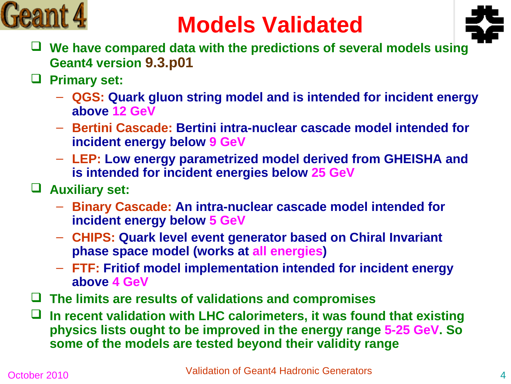

## **Models Validated**



- **We have compared data with the predictions of several models using Geant4 version 9.3.p01**
- **Primary set:**
	- **QGS: Quark gluon string model and is intended for incident energy above 12 GeV**
	- **Bertini Cascade: Bertini intra-nuclear cascade model intended for incident energy below 9 GeV**
	- **LEP: Low energy parametrized model derived from GHEISHA and is intended for incident energies below 25 GeV**
- **Auxiliary set:**
	- **Binary Cascade: An intra-nuclear cascade model intended for incident energy below 5 GeV**
	- **CHIPS: Quark level event generator based on Chiral Invariant phase space model (works at all energies)**
	- **FTF: Fritiof model implementation intended for incident energy above 4 GeV**
- **The limits are results of validations and compromises**
- **In recent validation with LHC calorimeters, it was found that existing physics lists ought to be improved in the energy range 5-25 GeV. So some of the models are tested beyond their validity range**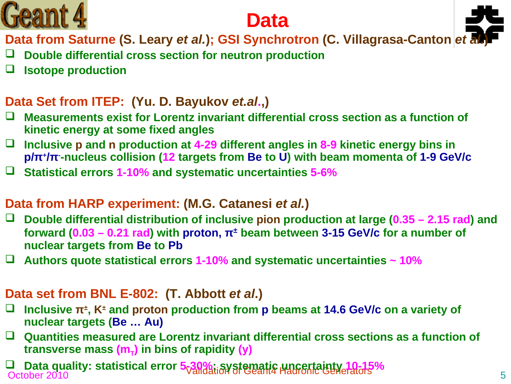



Data from Saturne (S. Leary *et al.*); GSI Synchrotron (C. Villagrasa-Canton *et* 

- **Double differential cross section for neutron production**
- **Isotope production**

#### **Data Set from ITEP: (Yu. D. Bayukov** *et.al***.,)**

- **Measurements exist for Lorentz invariant differential cross section as a function of kinetic energy at some fixed angles**
- **Inclusive p and n production at 4-29 different angles in 8-9 kinetic energy bins in p/π<sup>+</sup> /π- -nucleus collision (12 targets from Be to U) with beam momenta of 1-9 GeV/c**
- **Statistical errors 1-10% and systematic uncertainties 5-6%**

#### **Data from HARP experiment: (M.G. Catanesi** *et al.***)**

- **Double differential distribution of inclusive pion production at large (0.35 2.15 rad) and forward (0.03 – 0.21 rad) with proton, π<sup>±</sup> beam between 3-15 GeV/c for a number of nuclear targets from Be to Pb**
- **Authors quote statistical errors 1-10% and systematic uncertainties ~ 10%**

#### **Data set from BNL E-802: (T. Abbott** *et al.***)**

- **Inclusive π<sup>±</sup> , K<sup>±</sup> and proton production from p beams at 14.6 GeV/c on a variety of nuclear targets (Be … Au)**
- **Quantities measured are Lorentz invariant differential cross sections as a function of transverse mass (m<sup>T</sup> ) in bins of rapidity (y)**

a Data quality. Statistical ETTOL SCANdation of Gealth Hadronic Generators <sup>70</sup><br>October 2010 **Data quality: statistical error 5-30%; systematic uncertainty 10-15%**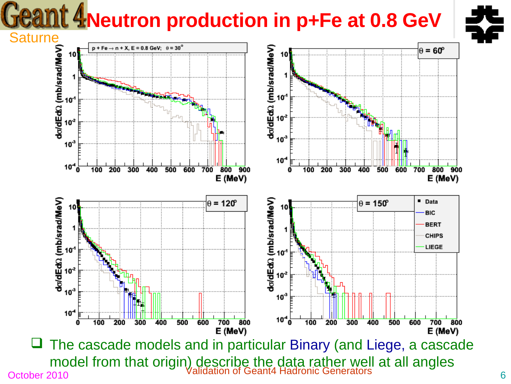## **Geant 4 Neutron production in p+Fe at 0.8 GeV**





October 2010 Contract of Geant4 Hadronic Generators Contract on Section of Geant4 Hadronic Generators The cascade models and in particular Binary (and Liege, a cascade model from that origin) describe the data rather well at all angles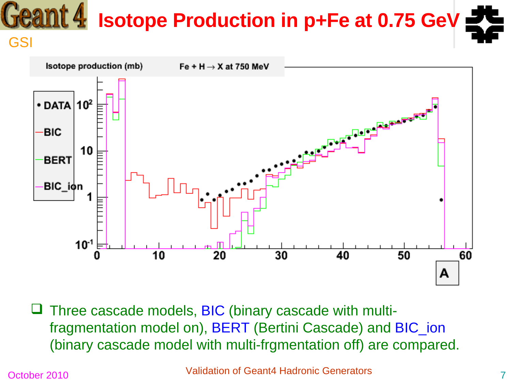## **Isotope Production in p+Fe at 0.75 GeV**





 Three cascade models, BIC (binary cascade with multifragmentation model on), BERT (Bertini Cascade) and BIC\_ion (binary cascade model with multi-frgmentation off) are compared.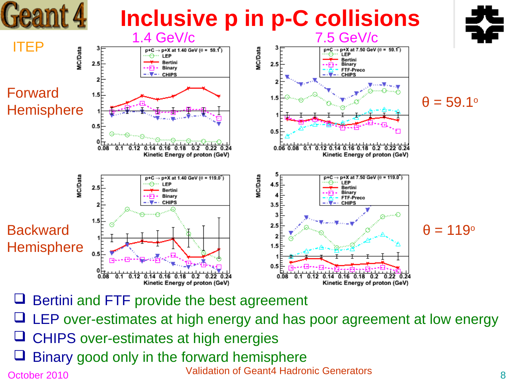

- $\Box$  Bertini and FTF provide the best agreement
- $\Box$  LEP over-estimates at high energy and has poor agreement at low energy
- $\Box$  CHIPS over-estimates at high energies
- October 2010 **Validation of Geant4 Hadronic Generators** 8 Binary good only in the forward hemisphere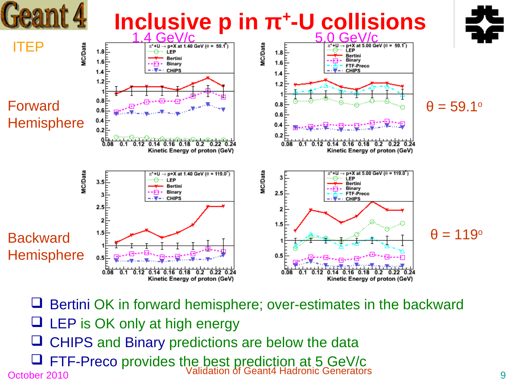

- $\Box$  Bertini OK in forward hemisphere; over-estimates in the backward
- $\Box$  LEP is OK only at high energy
- CHIPS and Binary predictions are below the data
- October 2010 **Validation of Geant4 Hadronic Generators** 9 **T** FTF-Preco provides the best prediction at 5 GeV/c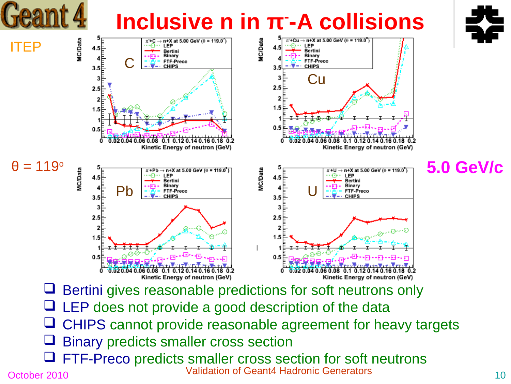## **Inclusive n in π- -A collisions**





October 2010 **Validation of Geant4 Hadronic Generators** 10 FTF-Preco predicts smaller cross section for soft neutrons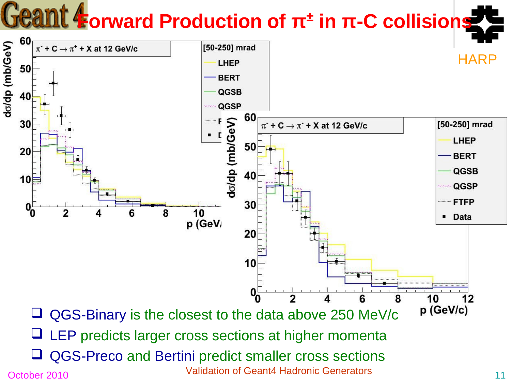## **Forward Production of π<sup>±</sup> in π-C collisions**

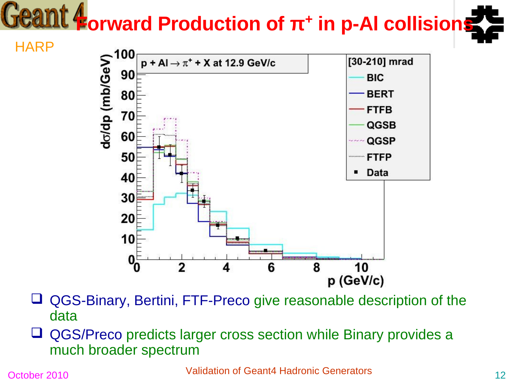# **Forward Production of π<sup>+</sup> in p-Al collisions**



 QGS-Binary, Bertini, FTF-Preco give reasonable description of the data

 QGS/Preco predicts larger cross section while Binary provides a much broader spectrum

October 2010 **Validation of Geant4 Hadronic Generators** 12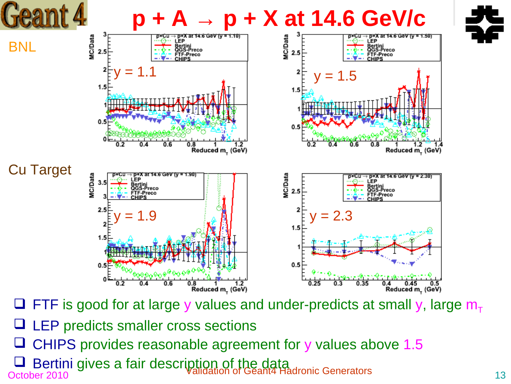

- $\Box$  FTF is good for at large y values and under-predicts at small y, large  $m_{\tau}$
- **Q** LEP predicts smaller cross sections
- CHIPS provides reasonable agreement for y values above 1.5
- October 2010<br>October 2010  $\Box$  Bertini gives a fair description of the data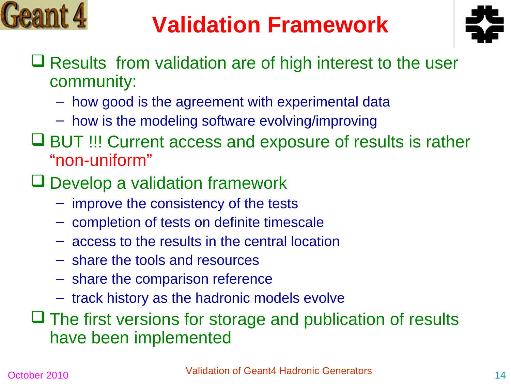

## **Validation Framework**



- $\Box$  Results from validation are of high interest to the user community:
	- how good is the agreement with experimental data
	- how is the modeling software evolving/improving
- **□ BUT !!! Current access and exposure of results is rather** "non-uniform"
- $\Box$  Develop a validation framework
	- improve the consistency of the tests
	- completion of tests on definite timescale
	- access to the results in the central location
	- share the tools and resources
	- share the comparison reference
	- track history as the hadronic models evolve

 $\Box$  The first versions for storage and publication of results have been implemented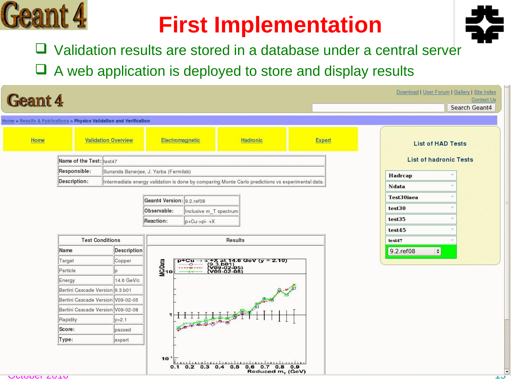## **First Implementation**



- □ Validation results are stored in a database under a central server
- $\Box$  A web application is deployed to store and display results

|      | <b>Geant 4</b>                                                      | Download   User Forum   Gallery   Site Index<br><b>Contact Us</b><br>Search Geant4                |                             |                         |                                                                                               |               |                                      |
|------|---------------------------------------------------------------------|---------------------------------------------------------------------------------------------------|-----------------------------|-------------------------|-----------------------------------------------------------------------------------------------|---------------|--------------------------------------|
|      | Home > Results & Publications > Physics Validation and Verification |                                                                                                   |                             |                         |                                                                                               |               |                                      |
| Home | <b>Validation Overview</b>                                          |                                                                                                   |                             | Electromagnetic         | Hadronic                                                                                      | <b>Expert</b> | <b>List of HAD Tests</b>             |
|      | Name of the Test: test47                                            |                                                                                                   |                             |                         |                                                                                               |               | <b>List of hadronic Tests</b>        |
|      | Responsible:                                                        | Sunanda Banerjee, J. Yarba (Fermilab)                                                             |                             |                         |                                                                                               |               |                                      |
|      | Description:                                                        | Intermediate energy validation is done by comparing Monte Carlo predictions vs experimental data. |                             |                         |                                                                                               | Hadrcap       |                                      |
|      |                                                                     |                                                                                                   |                             |                         |                                                                                               |               | <b>Ndata</b>                         |
|      |                                                                     |                                                                                                   | Geant4 Version: 9.2. ref08  | Test30iaea              |                                                                                               |               |                                      |
|      |                                                                     |                                                                                                   | Observable:                 | Inclusive m_T spectrum  |                                                                                               |               | test30                               |
|      |                                                                     |                                                                                                   | Reaction:                   | $p+Cu\rightarrow pi-+X$ |                                                                                               |               | test35                               |
|      |                                                                     |                                                                                                   |                             |                         |                                                                                               |               | test45                               |
|      | <b>Test Conditions</b>                                              |                                                                                                   | Results                     |                         |                                                                                               | test47        |                                      |
|      |                                                                     |                                                                                                   |                             |                         |                                                                                               |               |                                      |
|      | Name                                                                | Description                                                                                       |                             |                         |                                                                                               |               | 9.2. ref08<br>$\left  \cdot \right $ |
|      | Target                                                              | Copper                                                                                            |                             |                         |                                                                                               |               |                                      |
|      | Particle                                                            |                                                                                                   |                             |                         |                                                                                               |               |                                      |
|      | Energy                                                              | 14.6 GeV/c                                                                                        | MCData<br>Mga <sub>10</sub> |                         | p+Cu $\rightarrow$ $\pi$ +X at 14.6 GeV (y = 2.10)<br>(9.3.b01)<br>(V09-02-05)<br>(V09-02-08) |               |                                      |
|      | Bertini Cascade Version 9.3.b01                                     |                                                                                                   |                             |                         |                                                                                               |               |                                      |
|      | Bertini Cascade Version V09-02-05                                   |                                                                                                   |                             |                         |                                                                                               |               |                                      |
|      | Bertini Cascade Version V09-02-08                                   |                                                                                                   |                             |                         |                                                                                               |               |                                      |
|      | Rapidity                                                            | $y = 2.1$                                                                                         |                             |                         |                                                                                               |               |                                      |
|      | Score:                                                              | passed                                                                                            |                             | $\frac{1}{5}$           |                                                                                               |               |                                      |